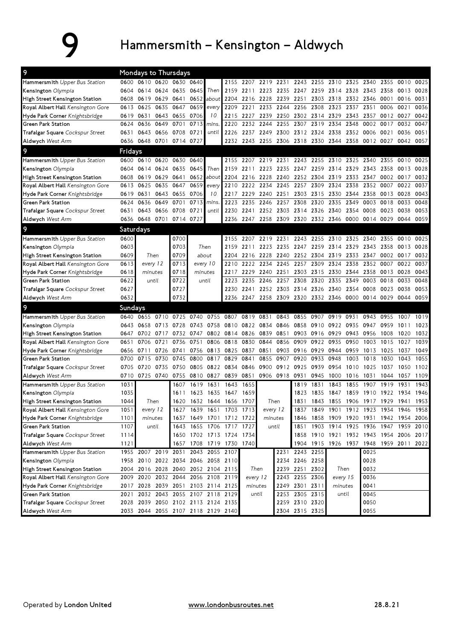## 9 Hammersmith – Kensington – Aldwych

| $\overline{9}$                          | Mondays to Thursdays |                                    |           |           |                                    |                |                          |          |                |                          |                |                |                                         |       |                |      |      |           |
|-----------------------------------------|----------------------|------------------------------------|-----------|-----------|------------------------------------|----------------|--------------------------|----------|----------------|--------------------------|----------------|----------------|-----------------------------------------|-------|----------------|------|------|-----------|
| Hammersmith Upper Bus Station           |                      | 0600 0610 0620 0630 0640           |           |           |                                    |                | 2155                     | 2207     |                |                          |                |                | 2219 2231 2243 2255 2310 2325 2340 2355 |       |                |      | 0010 | 0025      |
| Kensington Olympia                      | 0604                 | 0614                               | 0624      | 0635      | 0645                               | Then           | 2159                     | 2211     | 2223           | 2235                     | 2247           |                | 2259 2314                               | 2328  | 2343 2358      |      | 0013 | 0028      |
| High Street Kensington Station          | 0608                 | 0619                               | 0629      | 0641      | 0652                               | about          | 2204                     | 2216     | 2228           | 2239                     | 2251           |                | 2303 2318                               |       | 2332 2346 0001 |      | 0016 | 0031      |
| Royal Albert Hall Kensington Gore       | 0613                 | 0625                               |           | 0635 0647 | 0659                               | every          | 2209                     | 2221     | 2233           | 2244                     | 2256           | 2308           | 2323                                    | 2337  | 2351           | 0006 | 0021 | 0036      |
| Hyde Park Corner Knightsbridge          | 0619 0631            |                                    |           | 0643 0655 | 0706                               | 10             | 2215                     | 2227     | 2239           | 2250                     | 2302           | 2314           | 2329                                    | 2343  | 2357           | 0012 | 0027 | 0042      |
| <b>Green Park Station</b>               | 0624                 | 0636                               |           | 0649 0701 | 0713                               | mins.          | 2220                     | 2232     | 2244           | 2255                     | 2307           | 2319           | 2334                                    | 2348  | 0002           | 0017 | 0032 | 0047      |
| Trafalgar Square Cockspur Street        | 0631                 | 0643 0656 0708                     |           |           | 0721                               | until          | 2226                     |          | 2237 2249 2300 |                          | 2312 2324 2338 |                |                                         |       | 2352 0006 0021 |      | 0036 | 0051      |
| Aldwych West Arm                        |                      | 0636 0648 0701 0714 0727           |           |           |                                    |                | 2232                     |          | 2243 2255 2306 |                          |                |                | 2318 2330 2344 2358 0012 0027           |       |                |      | 0042 | 0057      |
| 9                                       | Fridays              |                                    |           |           |                                    |                |                          |          |                |                          |                |                |                                         |       |                |      |      |           |
| Hammersmith Upper Bus Station           |                      | 0600 0610                          | 0620      | 0630      | 0640                               |                | 2155                     | 2207     | 2219           | 2231                     | 2243           | 2255           | 2310                                    | 2325  | 2340           | 2355 | 0010 | 0025      |
| Kensington Olympia                      | 0604                 | 0614                               | 0624      | 0635      | 0645                               | Then           | 2159                     | 2211     | 2223           | 2235                     | 2247 2259 2314 |                |                                         | 2329  | 2343 2358      |      | 0013 | 0028      |
| High Street Kensington Station          | 0608                 | 0619                               | 0629      | 0641      | 0652                               | about          | 2204                     | 2216     | 2228           | 2240                     | 2252           | 2304           | 2319                                    | 2333  | 2347           | 0002 | 0017 | 0032      |
| Royal Albert Hall Kensington Gore       | 0613                 | 0625                               | 0635      | 0647      | 0659                               | every          | 2210                     | 2222     | 2234           | 2245                     | 2257           | 2309           | 2324                                    | 2338  | 2352           | 0007 | 0022 | 0037      |
| Hyde Park Corner Knightsbridge          | 0619                 | 0631                               | 0643      | 0655      | 0706                               | 10             | 2217                     | 2229     | 2240           | 2251                     | 2303           | 2315           | 2330                                    | 2344  | 2358           | 0013 | 0028 | 0043      |
| <b>Green Park Station</b>               | 0624                 | 0636                               | 0649      | 0701      | 0713                               | mins.          | 2223                     | 2235     | 2246           | 2257                     | 2308           | 2320           | 2335                                    | 2349  | 0003           | 0018 | 0033 | 0048      |
| <b>Trafalgar Square</b> Cockspur Street | 0631                 | 0643                               | 0656 0708 |           | 0721                               | until          | 2230                     | 2241     | 2252           | 2303                     | 2314           | 2326           | 2340                                    | 2354  | 0008           | 0023 | 0038 | 0053      |
| Aldwych West Arm                        |                      | 0636 0648                          | 0701      | 0714      | 0727                               |                | 2236                     |          | 2247 2258 2309 |                          | 2320           | 2332 2346      |                                         | 0000  | 0014 0029      |      | 0044 | 0059      |
| 9                                       | Saturdays            |                                    |           |           |                                    |                |                          |          |                |                          |                |                |                                         |       |                |      |      |           |
| Hammersmith Upper Bus Station           | 0600                 |                                    |           | 0700      |                                    |                | 2155                     | 2207     |                | 2219 2231 2243 2255 2310 |                |                |                                         | 2325  | 2340 2355      |      | 0010 | 0025      |
| Kensington Olympia                      | 0603                 |                                    |           | 0703      |                                    | Then           | 2159                     | 2211     |                | 2223 2235                | 2247 2259 2314 |                |                                         | 2329  | 2343 2358      |      | 0013 | 0028      |
| High Street Kensington Station          | 0609                 | Then                               |           | 0709      |                                    | about          | 2204                     |          | 2216 2228 2240 |                          |                | 2252 2304 2319 |                                         | 2333  | 2347           | 0002 | 0017 | 0032      |
| Royal Albert Hall Kensington Gore       | 0613                 | every 12                           |           | 0713      |                                    | every 10       | 2210                     | 2222     | 2234           | 2245                     | 2257           | 2309           | 2324                                    | 2338  | 2352           | 0007 | 0022 | 0037      |
| Hyde Park Corner Knightsbridge          | 0618                 | minutes                            |           | 0718      |                                    | minutes        | 2217                     | 2229     | 2240 2251      |                          |                | 2303 2315 2330 |                                         | 2344  | 2358           | 0013 | 0028 | 0043      |
| Green Park Station                      | 0622                 | until                              |           | 0722      |                                    | until          | 2223                     | 2235     | 2246           | 2257                     | 2308           | 2320           | 2335                                    | 2349  | 0003           | 0018 | 0033 | 0048      |
| Trafalgar Square Cockspur Street        | 0627                 |                                    |           | 0727      |                                    |                | 2230                     |          | 2241 2252 2303 |                          | 2314 2326 2340 |                |                                         | 2354  | 0008           | 0023 | 0038 | 0053      |
| Aldwych West Arm                        | 0632                 |                                    |           | 0732      |                                    |                | 2236                     |          | 2247 2258 2309 |                          | 2320 2332 2346 |                |                                         | 0000  | 0014 0029      |      | 0044 | 0059      |
| 9                                       | <b>Sundays</b>       |                                    |           |           |                                    |                |                          |          |                |                          |                |                |                                         |       |                |      |      |           |
| Hammersmith Upper Bus Station           |                      | 0640 0655                          | 0710      | 0725      | 0740                               | 0755           | 0807                     | 0819     | 0831           | 0843                     | 0855           | 0907           | 0919                                    | 0931  | 0943           | 0955 | 1007 | 1019      |
| Kensington Olympia                      | 0643                 | 0658                               | 0713      | 0728      | 0743                               | 0758           | 0810                     |          | 0822 0834      | 0846                     | 0858           | 0910           | 0922                                    | 0935  | 0947           | 0959 | 1011 | 1023      |
| High Street Kensington Station          | 0647                 | 0702                               | 0717      | 0732      | 0747                               | 0802           | 0814                     | 0826     | 0839           | 0851                     | 0903           | 0916           | 0929                                    | 0943  | 0956           | 1008 | 1020 | 1032      |
| Royal Albert Hall Kensington Gore       | 0651                 | 0706                               | 0721      | 0736      | 0751                               | 0806           | 0818                     | 0830     | 0844           | 0856                     | 0909           | 0922           | 0935                                    | 0950  | 1003           | 1015 | 1027 | 1039      |
| Hyde Park Corner Knightsbridge          | 0656                 | 0711                               | 0726      | 0741      | 0756                               | 0813           | 0825                     | 0837     | 0851           | 0903                     | 0916           | 0929           | 0944                                    | 0959  | 1013           | 1025 | 1037 | 1049      |
| Green Park Station                      | 0700                 | 0715                               | 0730      | 0745      | 0800                               | 0817           | 0829                     | 0841     | 0855           | 0907                     | 0920           | 0933           | 0948                                    | 1003  | 1018           | 1030 | 1043 | 1055      |
| Trafalgar Square Cockspur Street        | 0705                 | 0720                               | 0735      | 0750      | 0805                               | 0822           | 0834                     | 0846     | 0900           | 0912                     | 0925           | 0939           | 0954                                    | 1010  | 1025           | 1037 | 1050 | 1102      |
| Aldwych West Arm                        | 0710                 | 0725                               | 0740      | 0755      |                                    | 0810 0827      | 0839                     | 0851     |                | 0906 0918                | 0931           | 0945           | 1000                                    | 1016  | 1031           | 1044 | 1057 | 1109      |
| Hammersmith Upper Bus Station           | 1031                 |                                    |           | 1607      | 1619                               | 1631           | 1643                     | 1655     |                |                          | 1819           | 1831           | 1843                                    | 1855  | 1907           | 1919 | 1931 | 1943      |
| Kensington Olympia                      | 1035                 |                                    |           | 1611      | 1623                               | 1635           | 1647                     | 1659     |                |                          | 1823           | 1835           | 1847                                    | 1859  | 1910           | 1922 | 1934 | 1946      |
| High Street Kensington Station          | 1044                 | Then                               |           | 1620      |                                    | 1632 1644 1656 |                          | 1707     |                | Then                     | 1831           |                | 1843 1855                               |       | 1906 1917 1929 |      | 1941 | 1953      |
| Royal Albert Hall Kensington Gore       | 1051                 | every 12                           |           |           |                                    |                | 1627 1639 1651 1703 1713 |          |                | every 12                 |                |                | 1837 1849 1901 1912 1923 1934 1946 1958 |       |                |      |      |           |
| Hyde Park Corner Knightsbridge          | 1101                 | minutes                            |           |           |                                    |                | 1637 1649 1701 1712 1722 |          |                | minutes                  |                |                | 1846 1858 1909 1920 1931 1942 1954 2006 |       |                |      |      |           |
| Green Park Station                      | 1107                 | until                              |           | 1643      |                                    |                | 1655 1706 1717 1727      |          |                | until                    | 1851           |                | 1903 1914 1925 1936 1947                |       |                |      |      | 1959 2010 |
| Trafalgar Square Cockspur Street        | 1114                 |                                    |           |           |                                    |                | 1650 1702 1713 1724 1734 |          |                |                          |                |                | 1858 1910 1921 1932 1943 1954 2006 2017 |       |                |      |      |           |
| Aldwych West Arm                        | 1121                 |                                    |           | 1657      |                                    |                | 1708 1719 1730 1740      |          |                |                          |                |                | 1904 1915 1926 1937 1948 1959 2011 2022 |       |                |      |      |           |
| Hammersmith Upper Bus Station           |                      | 1955 2007 2019 2031                |           |           |                                    | 2043 2055 2107 |                          |          |                |                          | 2231 2243 2255 |                |                                         |       | 0025           |      |      |           |
| Kensington Olympia                      |                      | 1958 2010 2022 2034 2046 2058 2110 |           |           |                                    |                |                          |          |                |                          | 2234 2246 2258 |                |                                         |       | 0028           |      |      |           |
| High Street Kensington Station          |                      |                                    |           |           | 2004 2016 2028 2040 2052 2104 2115 |                |                          | Then     |                |                          | 2239 2251 2302 |                |                                         | Then  | 0032           |      |      |           |
| Royal Albert Hall Kensington Gore       |                      | 2009 2020 2032 2044 2056 2108 2119 |           |           |                                    |                |                          | every 12 |                |                          | 2243 2255 2306 |                | every 15                                |       | 0036           |      |      |           |
| Hyde Park Corner Knightsbridge          |                      |                                    |           |           | 2017 2028 2039 2051 2103 2114 2125 |                |                          |          | minutes        |                          | 2249 2301 2311 |                | minutes                                 |       | 0041           |      |      |           |
| Green Park Station                      |                      | 2021 2032 2043 2055 2107 2118 2129 |           |           |                                    |                |                          |          | until          |                          | 2253 2305 2315 |                |                                         | until | 0045           |      |      |           |
| Trafalgar Square Cockspur Street        |                      | 2028 2039 2050 2102 2113 2124 2135 |           |           |                                    |                |                          |          |                |                          | 2259 2310 2320 |                |                                         |       | 0050           |      |      |           |
| Aldwych West Arm                        |                      | 2033 2044 2055 2107 2118 2129 2140 |           |           |                                    |                |                          |          |                |                          | 2304 2315 2325 |                |                                         |       | 0055           |      |      |           |